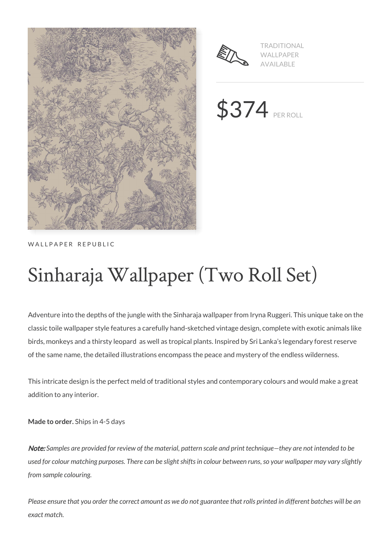



TRADITIONAL WALLPAPER AVAILABLE

\$374 PER ROLL

### WALLPAPER REPUBLIC

# Sinharaja Wallpaper (Two Roll Set)

Adventure into the depths of the jungle with the Sinharaja wallpaper from Iryna Ruggeri. This unique take on the classic toile wallpaper style features a carefully hand-sketched vintage design, complete with exotic animals like birds, monkeys and a thirsty leopard as well as tropical plants. Inspired by Sri Lanka's legendary forest reserve of the same name, the detailed illustrations encompass the peace and mystery of the endless wilderness.

This intricate design is the perfect meld of traditional styles and contemporary colours and would make a great addition to any interior.

**Made to order.** Ships in 4-5 days

Note: *Samples are provided for review of the material, pattern scale and print technique—they are not intended to be used for colour matching purposes. There can be slight shifts in colour between runs, so your wallpaper may vary slightly from sample colouring.*

*Please ensure that you order the correct amount as we do not guarantee that rolls printed in different batches will be an exact match.*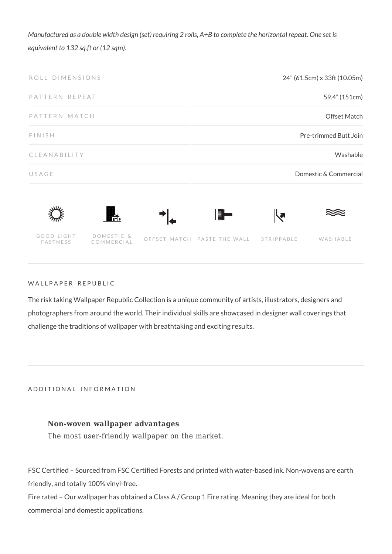*Manufactured as a double width design (set) requiring 2 rolls, A+B to complete the horizontal repeat. One set is equivalent to 132 sq.ft or (12 sqm).*





#### WALLPAPER REPUBLIC

The risk taking Wallpaper Republic Collection is a unique community of artists, illustrators, designers and photographers from around the world. Their individual skills are showcased in designer wall coverings that challenge the traditions of wallpaper with breathtaking and exciting results.

ADDITIONAL INFORMATION

#### **Non-woven wallpaper advantages**

The most user-friendly wallpaper on the market.

FSC Certified – Sourced from FSC Certified Forests and printed with water-based ink. Non-wovens are earth friendly, and totally 100% vinyl-free.

Fire rated – Our wallpaper has obtained a Class A / Group 1 Fire rating. Meaning they are ideal for both commercial and domestic applications.